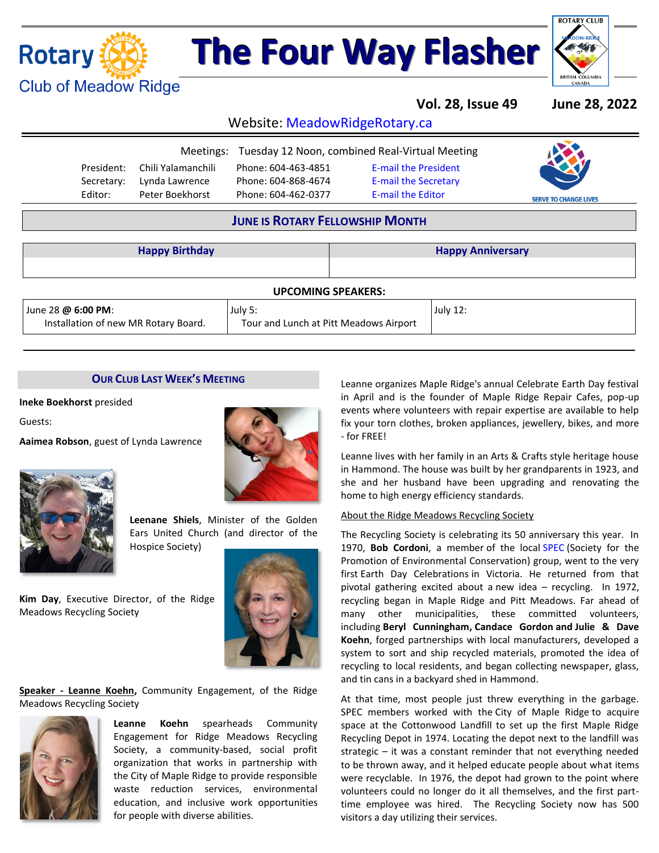

# **The Four Way Flasher**



**Vol. 28, Issue 49 June 28, 2022**

Website: MeadowRidgeRotary.ca

|            |                    | Meetings: Tuesday 12 Noon, combined Real-Virtual Meeting |                             |                              |
|------------|--------------------|----------------------------------------------------------|-----------------------------|------------------------------|
| President: | Chili Yalamanchili | Phone: 604-463-4851                                      | <b>E-mail the President</b> |                              |
| Secretary: | Lynda Lawrence     | Phone: 604-868-4674                                      | <b>E-mail the Secretary</b> |                              |
| Editor:    | Peter Boekhorst    | Phone: 604-462-0377                                      | <b>E-mail the Editor</b>    | <b>SERVE TO CHANGE LIVES</b> |

### **JUNE IS ROTARY FELLOWSHIP MONTH**

| <b>Happy Birthday</b>                                      |                                                   |  | <b>Happy Anniversary</b> |  |  |  |  |
|------------------------------------------------------------|---------------------------------------------------|--|--------------------------|--|--|--|--|
| <b>UPCOMING SPEAKERS:</b>                                  |                                                   |  |                          |  |  |  |  |
| June 28 @ 6:00 PM:<br>Installation of new MR Rotary Board. | July 5:<br>Tour and Lunch at Pitt Meadows Airport |  | July 12:                 |  |  |  |  |

#### **OUR CLUB LAST WEEK'S MEETING**

**Ineke Boekhorst** presided

Guests:

**Aaimea Robson**, guest of Lynda Lawrence



**Leenane Shiels**, Minister of the Golden Ears United Church (and director of the Hospice Society)

**Kim Day**, Executive Director, of the Ridge Meadows Recycling Society



**Speaker - Leanne Koehn,** Community Engagement, of the Ridge Meadows Recycling Society



**Leanne Koehn** spearheads Community Engagement for Ridge Meadows Recycling Society, a community-based, social profit organization that works in partnership with the City of Maple Ridge to provide responsible waste reduction services, environmental education, and inclusive work opportunities for people with diverse abilities.

Leanne organizes Maple Ridge's annual Celebrate Earth Day festival in April and is the founder of Maple Ridge Repair Cafes, pop-up events where volunteers with repair expertise are available to help fix your torn clothes, broken appliances, jewellery, bikes, and more - for FREE!

Leanne lives with her family in an Arts & Crafts style heritage house in Hammond. The house was built by her grandparents in 1923, and she and her husband have been upgrading and renovating the home to high energy efficiency standards.

#### About the Ridge Meadows Recycling Society

The Recycling Society is celebrating its 50 anniversary this year. In 1970, **Bob Cordoni**, a member of the local [SPEC](https://www.spec.bc.ca/) (Society for the Promotion of Environmental Conservation) group, went to the very first Earth Day Celebrations in Victoria. He returned from that pivotal gathering excited about a new idea – recycling. In 1972, recycling began in Maple Ridge and Pitt Meadows. Far ahead of many other municipalities, these committed volunteers, including **Beryl Cunningham, Candace Gordon and Julie & Dave Koehn**, forged partnerships with local manufacturers, developed a system to sort and ship recycled materials, promoted the idea of recycling to local residents, and began collecting newspaper, glass, and tin cans in a backyard shed in Hammond.

At that time, most people just threw everything in the garbage. SPEC members worked with the City of Maple Ridge to acquire space at the Cottonwood Landfill to set up the first Maple Ridge Recycling Depot in 1974. Locating the depot next to the landfill was strategic – it was a constant reminder that not everything needed to be thrown away, and it helped educate people about what items were recyclable. In 1976, the depot had grown to the point where volunteers could no longer do it all themselves, and the first parttime employee was hired. The Recycling Society now has 500 visitors a day utilizing their services.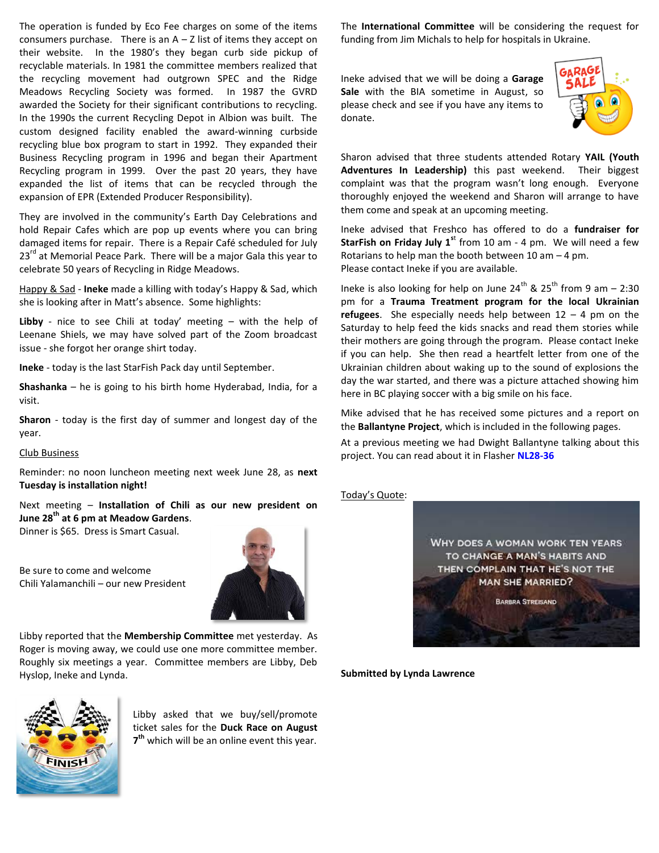The operation is funded by Eco Fee charges on some of the items consumers purchase. There is an  $A - Z$  list of items they accept on their website. In the 1980's they began curb side pickup of recyclable materials. In 1981 the committee members realized that the recycling movement had outgrown SPEC and the Ridge Meadows Recycling Society was formed. In 1987 the GVRD awarded the Society for their significant contributions to recycling. In the 1990s the current Recycling Depot in Albion was built. The custom designed facility enabled the award-winning curbside recycling blue box program to start in 1992. They expanded their Business Recycling program in 1996 and began their Apartment Recycling program in 1999. Over the past 20 years, they have expanded the list of items that can be recycled through the expansion of EPR (Extended Producer Responsibility).

They are involved in the community's Earth Day Celebrations and hold Repair Cafes which are pop up events where you can bring damaged items for repair. There is a Repair Café scheduled for July  $23<sup>rd</sup>$  at Memorial Peace Park. There will be a major Gala this year to celebrate 50 years of Recycling in Ridge Meadows.

Happy & Sad - **Ineke** made a killing with today's Happy & Sad, which she is looking after in Matt's absence. Some highlights:

**Libby** - nice to see Chili at today' meeting – with the help of Leenane Shiels, we may have solved part of the Zoom broadcast issue - she forgot her orange shirt today.

**Ineke** - today is the last StarFish Pack day until September.

**Shashanka** – he is going to his birth home Hyderabad, India, for a visit.

**Sharon** - today is the first day of summer and longest day of the year.

#### Club Business

Reminder: no noon luncheon meeting next week June 28, as **next Tuesday is installation night!**

Next meeting – **Installation of Chili as our new president on June 28th at 6 pm at Meadow Gardens**.

Dinner is \$65. Dress is Smart Casual.

Be sure to come and welcome Chili Yalamanchili – our new President



Libby reported that the **Membership Committee** met yesterday. As Roger is moving away, we could use one more committee member. Roughly six meetings a year. Committee members are Libby, Deb Hyslop, Ineke and Lynda.



Libby asked that we buy/sell/promote ticket sales for the **Duck Race on August 7 th** which will be an online event this year.

The **International Committee** will be considering the request for funding from Jim Michals to help for hospitals in Ukraine.

Ineke advised that we will be doing a **Garage Sale** with the BIA sometime in August, so please check and see if you have any items to donate.



Sharon advised that three students attended Rotary **YAIL (Youth Adventures In Leadership)** this past weekend. Their biggest complaint was that the program wasn't long enough. Everyone thoroughly enjoyed the weekend and Sharon will arrange to have them come and speak at an upcoming meeting.

Ineke advised that Freshco has offered to do a **fundraiser for StarFish on Friday July 1<sup>st</sup> from 10 am - 4 pm. We will need a few** Rotarians to help man the booth between 10 am – 4 pm. Please contact Ineke if you are available.

Ineke is also looking for help on June  $24^{th}$  &  $25^{th}$  from 9 am – 2:30 pm for a **Trauma Treatment program for the local Ukrainian refugees**. She especially needs help between 12 – 4 pm on the Saturday to help feed the kids snacks and read them stories while their mothers are going through the program. Please contact Ineke if you can help. She then read a heartfelt letter from one of the Ukrainian children about waking up to the sound of explosions the day the war started, and there was a picture attached showing him here in BC playing soccer with a big smile on his face.

Mike advised that he has received some pictures and a report on the **Ballantyne Project**, which is included in the following pages.

At a previous meeting we had Dwight Ballantyne talking about this project. You can read about it in Flasher **[NL28-36](https://clubrunner.blob.core.windows.net/00000000800/en-ca/files/sitepage/bulletin-files-2021-22/nl28-36/NL28-36.pdf)**



WHY DOES A WOMAN WORK TEN YEARS TO CHANGE A MAN'S HABITS AND THEN COMPLAIN THAT HE'S NOT THE **MAN SHE MARRIED?** 

**BARBRA STREISAND** 

**Submitted by Lynda Lawrence**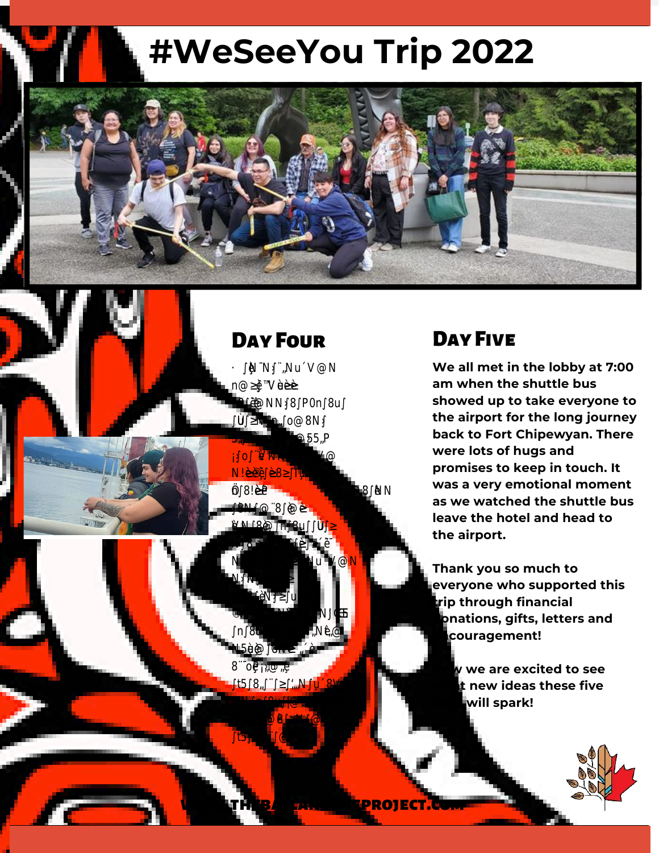## **#WeSeeYou Trip 2022**



## Day Four

## Day Five

áƺƏǼǼɎȒȒǸɎǝƺƬǣɎɵƫɖɀɎȒ **We all met in the lobby at 7:00** nȒȇɀƳƏǼƺªɖƏɵƏȇƳǝƏƳ **am when the shuttle bus** ƫȸƺƏǸǔƏɀɎɎǝƺȸƺِ0ɮƺȸɵȒȇƺ **showed up to take everyone to** ƺȇǴȒɵƺƳɎǝƺɮǣƺɯɀǔȸȒȅɎǝƺ **the airport for the long journey** ȵǣƺȸƏȇƳƳǣƳɀȒȅƺɀǝȒȵȵǣȇǕِ **back to Fort Chipewyan. There** ÁǝƺȇɯƺƬƏɖǕǝɎɎǝƺɀƺƏƫɖɀ **were lots of hugs and** ɎȒ!ƏȇƏƳƏ¨ǼƏƬƺƏȇƳȸȒƳƺIǼɵ **promises to keep in touch. It** œ <del>vasaveryen</del> ǝƺƏȸɎǝƺɀƬȸƺƏȅɀƏȇƳ ǼƏɖǕǝɎƺȸƏɀƺɮƺȸɵȒȇƺƺȇǴȒɵƺƳ ɎǝƺȸǣƳƺِáƺǝƺƏƳƺƳƫƏƬǸȒȇ **was a very emotional moment as we watched the shuttle bus leave the hotel and head to the airport.**

**E** Thank you so much to **everyone who supported this Trip through financial** ¨ɖƫȸƺɀɎƏɖȸƏȇɎِɎيוȵȅ **donations, gifts, letters and** ƺɮƺȸɵȒȇƺǝƺƏƳƺƳȒɖɎǣȇɎƏɴǣɀ **encouragement!** 

**Now WE AND SEE AND SEE AND SEE AND SEE AND SEE AND SEE AND SEE AND SEE AND SEE AND SEE AND SEE AND SEE AND SEE AND SEE AND SEE AND SEE AND SEE AND SEE AND SEE AND SEE AND SEE AND SEE AND SEE AND SEE AND SEE AND SEE AND SE** ƺɴȵƺȸǣƺȇƬƺƳƺǔǣȇǣɎƺǼɵƫȸȒɖǕǝɎ **what new ideas these five** ȒɖɎƺɮƺȸɵȒȇƺټɀȵƺȸɀȒȇƏǼǣɎǣƺɀ **days will spark!**

ƏɀɎǝƺɵɀǝƏȸƺƳɎǝƺɀƺȇƺɯ

ƺɴȵƺȸǣƺȇƬƺɀِ

ɎȒȵǼƏɵǼƏɀƺȸɎƏǕƏȇƳƬǼǣȅƫƏ